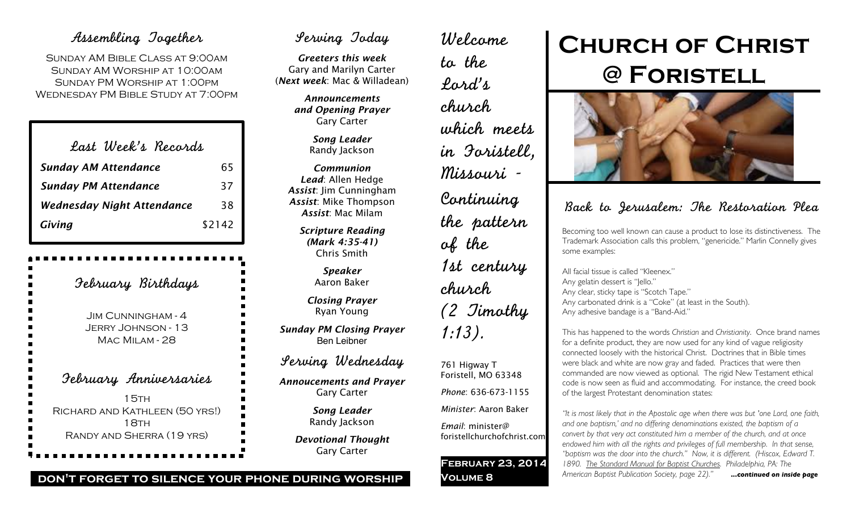### Assembling Together

Sunday AM Bible Class at 9:00am Sunday AM Worship at 10:00am Sunday PM Worship at 1:00pm Wednesday PM Bible Study at 7:00pm

| Last Week's Records               |        |
|-----------------------------------|--------|
| <b>Sunday AM Attendance</b>       | 65     |
| <b>Sunday PM Attendance</b>       | 37     |
| <b>Wednesday Night Attendance</b> | 38     |
| Giving                            | \$2142 |

February Birthdays Jim Cunningham - 4 Jerry Johnson - 13 Mac Milam - 28 February Anniversaries  $15TH$ Richard and Kathleen (50 yrs!) 18TH Randy and Sherra (19 yrs)

## Serving Today

*Greeters this week* Gary and Marilyn Carter (*Next week*: Mac & Willadean)

> *Announcements and Opening Prayer* Gary Carter

> > *Song Leader* Randy Jackson

*Communion Lead*: Allen Hedge *Assist*: Jim Cunningham *Assist*: Mike Thompson *Assist*: Mac Milam

> *Scripture Reading (Mark 4:35-41)* Chris Smith

> > *Speaker* Aaron Baker

*Closing Prayer* Ryan Young

*Sunday PM Closing Prayer* Ben Leibner

Serving Wednesday

*Annoucements and Prayer* Gary Carter

> *Song Leader* Randy Jackson

*Devotional Thought* Gary Carter

to the Lord's church which meets in Foristell, Missouri - Continuing the pattern of the 1st century church (2 Timothy 1:13).

Welcome

761 Higway T Foristell, MO 63348 *Phone*: 636-673-1155

*Minister*: Aaron Baker

*Email*: minister@ foristellchurchofchrist.com

**February 23, 2014 Volume 8**

# **Church of Christ @ Foristell**



## Back to Jerusalem: The Restoration Plea

Becoming too well known can cause a product to lose its distinctiveness. The Trademark Association calls this problem, "genericide." Marlin Connelly gives some examples:

All facial tissue is called "Kleenex." Any gelatin dessert is "Jello." Any clear, sticky tape is "Scotch Tape." Any carbonated drink is a "Coke" (at least in the South). Any adhesive bandage is a "Band-Aid."

This has happened to the words *Christian* and *Christianity*. Once brand names for a definite product, they are now used for any kind of vague religiosity connected loosely with the historical Christ. Doctrines that in Bible times were black and white are now gray and faded. Practices that were then commanded are now viewed as optional. The rigid New Testament ethical code is now seen as fluid and accommodating. For instance, the creed book of the largest Protestant denomination states:

*"It is most likely that in the Apostolic age when there was but 'one Lord, one faith, and one baptism,' and no differing denominations existed, the baptism of a convert by that very act constituted him a member of the church, and at once endowed him with all the rights and privileges of full membership. In that sense, "baptism was the door into the church." Now, it is different. (Hiscox, Edward T. 1890. The Standard Manual for Baptist Churches. Philadelphia, PA: The American Baptist Publication Society, page 22)." ...continued on inside page*

#### **don't forget to silence your phone during worship**